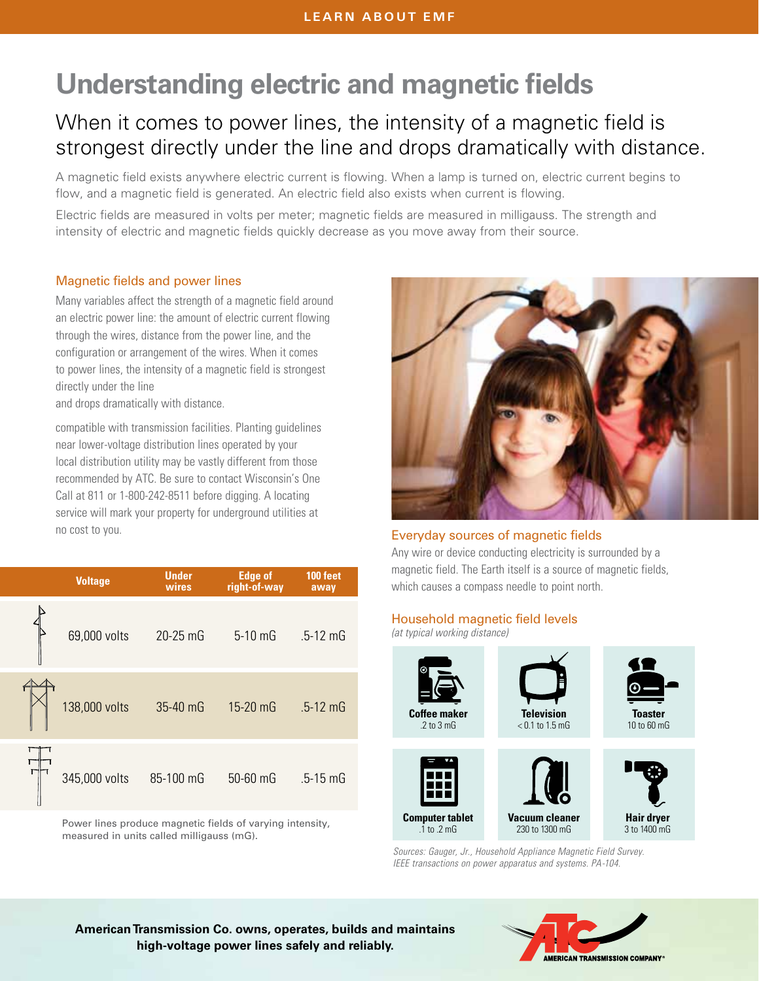# **Understanding electric and magnetic fields**

# When it comes to power lines, the intensity of a magnetic field is strongest directly under the line and drops dramatically with distance.

A magnetic field exists anywhere electric current is flowing. When a lamp is turned on, electric current begins to flow, and a magnetic field is generated. An electric field also exists when current is flowing.

Electric fields are measured in volts per meter; magnetic fields are measured in milligauss. The strength and intensity of electric and magnetic fields quickly decrease as you move away from their source.

## Magnetic fields and power lines

Many variables affect the strength of a magnetic field around an electric power line: the amount of electric current flowing through the wires, distance from the power line, and the configuration or arrangement of the wires. When it comes to power lines, the intensity of a magnetic field is strongest directly under the line

and drops dramatically with distance.

compatible with transmission facilities. Planting guidelines near lower-voltage distribution lines operated by your local distribution utility may be vastly different from those recommended by ATC. Be sure to contact Wisconsin's One Call at 811 or 1-800-242-8511 before digging. A locating service will mark your property for underground utilities at no cost to you.

| <b>Voltage</b> | <b>Under</b><br>wires | <b>Edge of</b><br>right-of-way | 100 feet<br>away |
|----------------|-----------------------|--------------------------------|------------------|
| 69,000 volts   | 20-25 mG              | $5-10$ mG                      | $.5 - 12$ mG     |
| 138,000 volts  | 35-40 mG              | 15-20 mG                       | $.5 - 12$ mG     |
| 345,000 volts  | 85-100 mG             | 50-60 mG                       | $.5 - 15$ mG     |

Power lines produce magnetic fields of varying intensity, measured in units called milligauss (mG).



#### Everyday sources of magnetic fields

Any wire or device conducting electricity is surrounded by a magnetic field. The Earth itself is a source of magnetic fields, which causes a compass needle to point north.

#### Household magnetic field levels

*(at typical working distance)*



*Sources: Gauger, Jr., Household Appliance Magnetic Field Survey. IEEE transactions on power apparatus and systems. PA-104.*